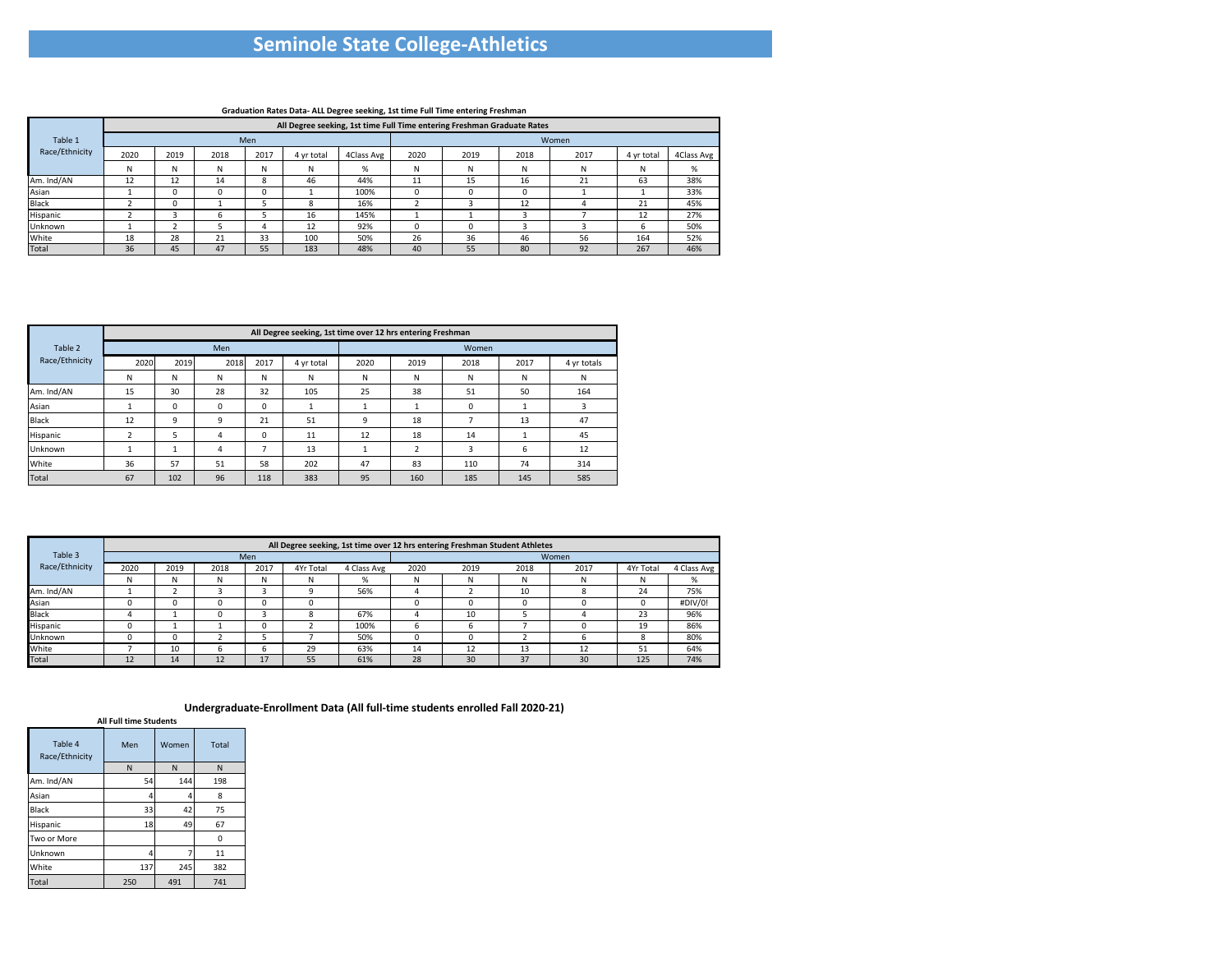|                |      |                                                                         |      |            |            | $\sim$<br>$\cdot$ |      |      |      |       |            |            |  |  |  |  |
|----------------|------|-------------------------------------------------------------------------|------|------------|------------|-------------------|------|------|------|-------|------------|------------|--|--|--|--|
|                |      | All Degree seeking, 1st time Full Time entering Freshman Graduate Rates |      |            |            |                   |      |      |      |       |            |            |  |  |  |  |
| Table 1        |      |                                                                         |      | <b>Men</b> |            |                   |      |      |      | Women |            |            |  |  |  |  |
| Race/Ethnicity | 2020 | 2019                                                                    | 2018 | 2017       | 4 yr total | 4Class Avg        | 2020 | 2019 | 2018 | 2017  | 4 yr total | 4Class Avg |  |  |  |  |
|                | N    | N                                                                       | N    | N          | N          | %                 | N    | N    | N    | N     | N          | %          |  |  |  |  |
| Am. Ind/AN     | 12   | 12                                                                      | 14   | 8          | 46         | 44%               | 11   | 15   | 16   | 21    | 63         | 38%        |  |  |  |  |
| Asian          |      | 0                                                                       | 0    |            |            | 100%              |      |      |      |       |            | 33%        |  |  |  |  |
| <b>Black</b>   |      | 0                                                                       |      |            | 8          | 16%               |      |      | 12   |       | 21         | 45%        |  |  |  |  |
| Hispanic       |      |                                                                         | n    |            | 16         | 145%              |      |      |      |       | 12         | 27%        |  |  |  |  |
| Unknown        |      |                                                                         |      |            | 12         | 92%               |      |      |      |       | b          | 50%        |  |  |  |  |
| White          | 18   | 28                                                                      | 21   | 33         | 100        | 50%               | 26   | 36   | 46   | 56    | 164        | 52%        |  |  |  |  |
| Total          | 36   | 45                                                                      | 47   | 55         | 183        | 48%               | 40   | 55   | 80   | 92    | 267        | 46%        |  |  |  |  |
|                |      |                                                                         |      |            |            |                   |      |      |      |       |            |            |  |  |  |  |

|                |      |      |      |      | All Degree seeking, 1st time over 12 hrs entering Freshman |      |      |       |      |             |
|----------------|------|------|------|------|------------------------------------------------------------|------|------|-------|------|-------------|
| Table 2        |      |      | Men  |      |                                                            |      |      | Women |      |             |
| Race/Ethnicity | 2020 | 2019 | 2018 | 2017 | 4 yr total                                                 | 2020 | 2019 | 2018  | 2017 | 4 yr totals |
|                | N    | N    | N    | N    | N                                                          | N    | N    | N     | N    | N           |
| Am. Ind/AN     | 15   | 30   | 28   | 32   | 105                                                        | 25   | 38   | 51    | 50   | 164         |
| Asian          |      | 0    | 0    | 0    |                                                            |      |      | 0     |      |             |
| <b>Black</b>   | 12   | 9    | 9    | 21   | 51                                                         | 9    | 18   |       | 13   | 47          |
| Hispanic       | ∍    | 5    | 4    | 0    | 11                                                         | 12   | 18   | 14    |      | 45          |
| Unknown        |      |      | 4    |      | 13                                                         |      | ำ    | 3     | 6    | 12          |
| White          | 36   | 57   | 51   | 58   | 202                                                        | 47   | 83   | 110   | 74   | 314         |
| <b>Total</b>   | 67   | 102  | 96   | 118  | 383                                                        | 95   | 160  | 185   | 145  | 585         |

|                |      |      |      |            |           |             |      | All Degree seeking, 1st time over 12 hrs entering Freshman Student Athletes |      |       |           |             |
|----------------|------|------|------|------------|-----------|-------------|------|-----------------------------------------------------------------------------|------|-------|-----------|-------------|
| Table 3        |      |      |      | <b>Men</b> |           |             |      |                                                                             |      | Women |           |             |
| Race/Ethnicity | 2020 | 2019 | 2018 | 2017       | 4Yr Total | 4 Class Avg | 2020 | 2019                                                                        | 2018 | 2017  | 4Yr Total | 4 Class Avg |
|                | N    | N    | N    | N          | N         | %           | W    |                                                                             | N    | N     | N.        | %           |
| Am. Ind/AN     |      |      |      |            |           | 56%         | 4    |                                                                             | 10   |       | 24        | 75%         |
| Asian          |      |      |      |            |           |             | 0    |                                                                             |      |       |           | #DIV/0!     |
| <b>Black</b>   |      |      |      |            | 8         | 67%         | 4    | 10                                                                          |      |       | 23        | 96%         |
| Hispanic       |      |      |      |            |           | 100%        | b    |                                                                             |      |       | 19        | 86%         |
| Unknown        |      |      |      |            |           | 50%         |      |                                                                             |      |       |           | 80%         |
| White          |      | 10   |      |            | 29        | 63%         | 14   | 12                                                                          | 13   | 12    | 51        | 64%         |
| Total          | 12   | 14   | 12   | 17         | 55        | 61%         | 28   | 30                                                                          | 37   | 30    | 125       | 74%         |

|                           | <b>All Full time Students</b> |       |              |
|---------------------------|-------------------------------|-------|--------------|
| Table 4<br>Race/Ethnicity | Men                           | Women | <b>Total</b> |
|                           | N                             | N     | N            |
| Am. Ind/AN                | 54                            | 144   | 198          |
| Asian                     | 4                             | 4     | 8            |
| <b>Black</b>              | 33                            | 42    | 75           |
| Hispanic                  | 18                            | 49    | 67           |
| Two or More               |                               |       | o            |
| Unknown                   | 4                             | 7     | 11           |
| White                     | 137                           | 245   | 382          |
| Total                     | 250                           | 491   | 741          |

## **Seminole State College-Athletics**

## **Graduation Rates Data- ALL Degree seeking, 1st time Full Time entering Freshman**

**Undergraduate-Enrollment Data (All full-time students enrolled Fall 2020-21)**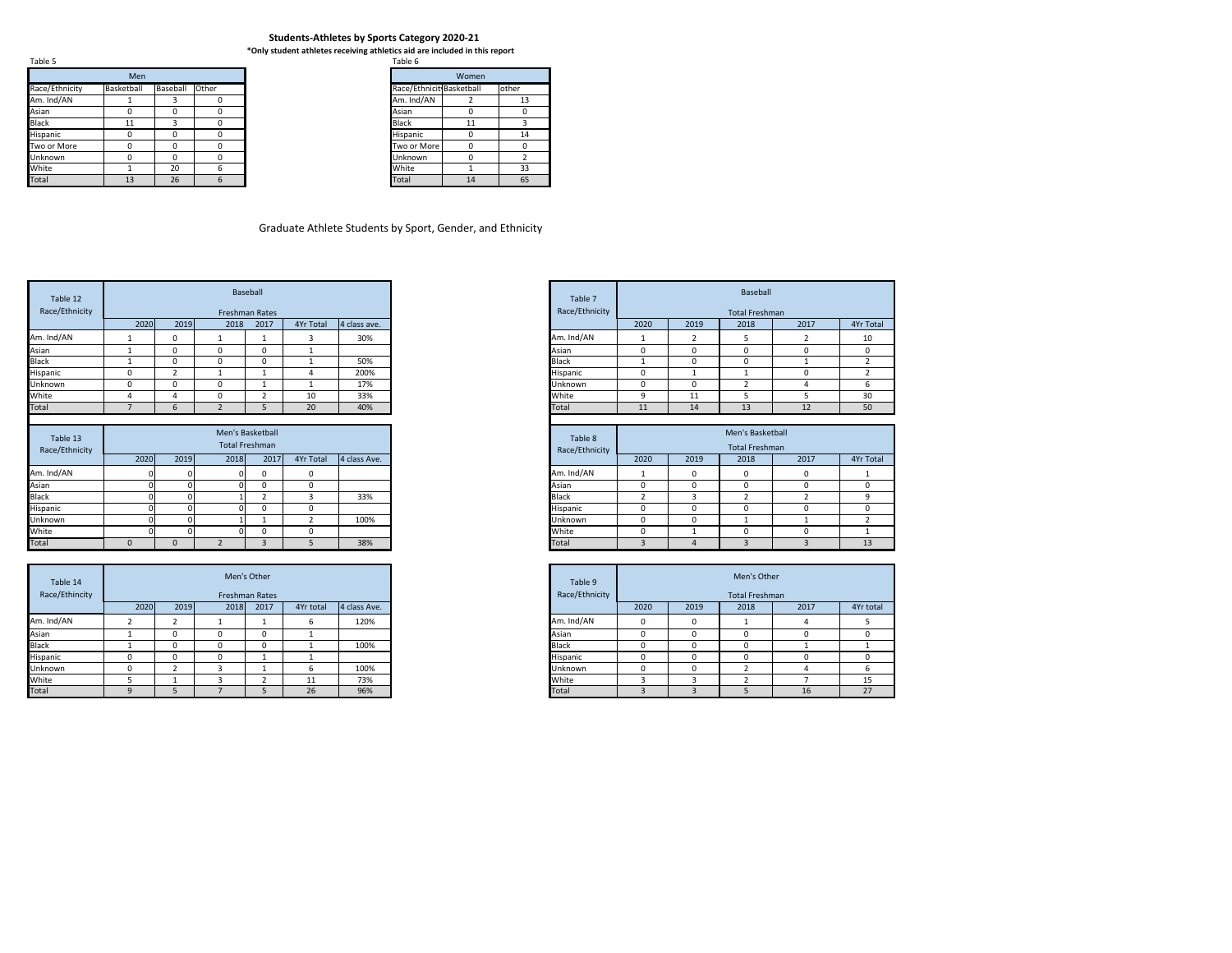**\*Only student athletes receiving athletics aid are included in this report**

| Table 5        |            |              |       |
|----------------|------------|--------------|-------|
|                | <b>Men</b> |              |       |
| Race/Ethnicity | Basketball | Baseball     | Other |
| Am. Ind/AN     |            |              |       |
| Asian          |            | 0            |       |
| <b>Black</b>   | 11         | 3            |       |
| Hispanic       |            | 0            |       |
| Two or More    |            | <sup>0</sup> |       |
| <b>Unknown</b> |            | $\Omega$     |       |
| White          |            | 20           | 6     |
| <b>Total</b>   | 13         | 26           | 6     |

| ט טושו                   |       |       |
|--------------------------|-------|-------|
|                          | Women |       |
| Race/Ethnicit Basketball |       | other |
| Am. Ind/AN               | 2     | 13    |
| Asian                    |       |       |
| <b>Black</b>             | 11    |       |
| Hispanic                 |       | 14    |
| Two or More              |       | n     |
| Unknown                  |       | 2     |
| White                    |       | 33    |
| Total                    | 14    | 65    |

|                                                   | Baseball |  | Table 7        |      |      | <b>Baseball</b>       |      |           |
|---------------------------------------------------|----------|--|----------------|------|------|-----------------------|------|-----------|
| <b>Freshman Rates</b>                             |          |  | Race/Ethnicity |      |      | <b>Total Freshman</b> |      |           |
| 2019<br>2017<br>2018<br>4Yr Total<br>4 class ave. |          |  |                | 2020 | 2019 | 2018                  | 2017 | 4Yr Total |
| 30%                                               |          |  | Am. Ind/AN     |      |      |                       |      | 10        |
| 0<br>υ                                            |          |  | Asian          | 0    |      |                       | 0    |           |
| 50%<br>0<br>O                                     |          |  | <b>Black</b>   |      |      | 0                     |      |           |
| 200%                                              |          |  | Hispanic       | 0    |      |                       | O    |           |
| 17%<br>0                                          |          |  | Unknown        | 0    |      |                       |      |           |
| 33%<br>10<br>υ                                    |          |  | White          | 9    | ᅭ    |                       |      | 30        |
| 40%<br>20<br>∍                                    |          |  | Total          | 11   | 14   | 13                    | 12   | 50        |

| Table 12                   |             |                |                | Baseball                           |                |              |
|----------------------------|-------------|----------------|----------------|------------------------------------|----------------|--------------|
| Race/Ethnicity             |             |                |                | <b>Freshman Rates</b>              |                |              |
|                            | 2020        | 2019           | 2018           | 2017                               | 4Yr Total      | 4 class ave. |
| Am. Ind/AN                 | $\mathbf 1$ | $\Omega$       | 1              |                                    | 3              | 30%          |
| Asian                      | 1           | $\Omega$       | $\Omega$       | 0                                  | 1              |              |
| <b>Black</b>               |             | $\Omega$       | 0              | 0                                  |                | 50%          |
| Hispanic                   | 0           | $\overline{2}$ | 1              |                                    |                | 200%         |
| Unknown                    | 0           | $\mathbf{0}$   | 0              |                                    |                | 17%          |
| White                      | 4           | 4              | 0              | $\overline{2}$                     | 10             | 33%          |
| <b>Total</b>               | 7           | 6              | $\overline{2}$ | 5                                  | 20             | 40%          |
| Table 13<br>Race/Ethnicity |             |                |                | Men's Basketball<br>Total Freshman |                |              |
|                            | 2020        | 2019           | 2018           | 2017                               | 4Yr Total      | 4 class Ave. |
| Am. Ind/AN                 |             |                |                | $\mathbf{0}$                       | $\mathbf{0}$   |              |
|                            |             |                |                | 0                                  | 0              |              |
| Asian                      |             |                |                |                                    |                |              |
| <b>Black</b>               |             |                |                | $\overline{2}$                     | 3              | 33%          |
|                            |             |                |                | 0                                  | $\Omega$       |              |
| Hispanic<br>Unknown        |             |                |                |                                    | $\overline{2}$ | 100%         |
| White<br>Total             | ∩           |                | ∩              | 0                                  | $\Omega$       |              |

|                       |  | Men's Basketball |           |              | Table 8        |      |      | Men's Basketball      |      |           |
|-----------------------|--|------------------|-----------|--------------|----------------|------|------|-----------------------|------|-----------|
| <b>Total Freshman</b> |  |                  |           |              | Race/Ethnicity |      |      | <b>Total Freshman</b> |      |           |
| 2019<br>2018<br>2017  |  |                  | 4Yr Total | 4 class Ave. |                | 2020 | 2019 | 2018                  | 2017 | 4Yr Total |
| ΩI<br>0               |  |                  |           |              | Am. Ind/AN     |      |      |                       | 0    |           |
|                       |  |                  |           |              | Asian          | 0    |      |                       | 0    |           |
|                       |  |                  |           | 33%          | <b>Black</b>   |      |      |                       |      |           |
| וח                    |  |                  |           |              | Hispanic       | 0    |      |                       | 0    |           |
|                       |  |                  |           | 100%         | Unknown        | 0    |      |                       |      |           |
|                       |  |                  |           |              | White          | 0    |      |                       |      |           |
|                       |  |                  |           | 38%          | Total          |      |      |                       |      | 13        |

|      |      |      | Men's Other<br>Freshman Rates |           |              | Table 9<br>Race/Ethnicity |      |      | Men's Other<br><b>Total Freshman</b> |      |           |
|------|------|------|-------------------------------|-----------|--------------|---------------------------|------|------|--------------------------------------|------|-----------|
| 2020 | 2019 | 2018 | 2017                          | 4Yr total | 4 class Ave. |                           | 2020 | 2019 | 2018                                 | 2017 | 4Yr total |
|      |      |      |                               | b         | 120%         | Am. Ind/AN                |      | O    |                                      | 4    |           |
|      |      | -0   | 0                             |           |              | Asian                     | ັ    |      | 0                                    | 0    | 0         |
|      |      | U    | 0                             |           | 100%         | <b>Black</b>              |      |      | 0                                    |      |           |
|      |      | 0    |                               |           |              | Hispanic                  |      |      | 0                                    | 0    |           |
|      |      |      |                               |           | 100%         | Unknown                   |      |      |                                      |      |           |
|      |      |      |                               | 11        | 73%          | White                     |      |      |                                      |      | 15        |
|      |      |      |                               | 26        | 96%          | Total                     |      |      |                                      | 16   | 27        |

| Table 14<br>Race/Ethincity | Men's Other<br><b>Freshman Rates</b><br>2019<br>2020<br>2018<br>2017<br>4Yr total |  |  |          |              |  |  |  |
|----------------------------|-----------------------------------------------------------------------------------|--|--|----------|--------------|--|--|--|
|                            |                                                                                   |  |  |          | 4 class Ave. |  |  |  |
| Am. Ind/AN                 |                                                                                   |  |  |          | 120%         |  |  |  |
| Asian                      |                                                                                   |  |  |          |              |  |  |  |
| <b>Black</b>               |                                                                                   |  |  |          | 100%         |  |  |  |
| Hispanic                   |                                                                                   |  |  |          |              |  |  |  |
| Unknown                    |                                                                                   |  |  |          | 100%         |  |  |  |
| White                      |                                                                                   |  |  | 11<br>ᆠᆂ | 73%          |  |  |  |
| <b>Total</b>               |                                                                                   |  |  | 26       | 96%          |  |  |  |

## **Students-Athletes by Sports Category 2020-21**

## Graduate Athlete Students by Sport, Gender, and Ethnicity